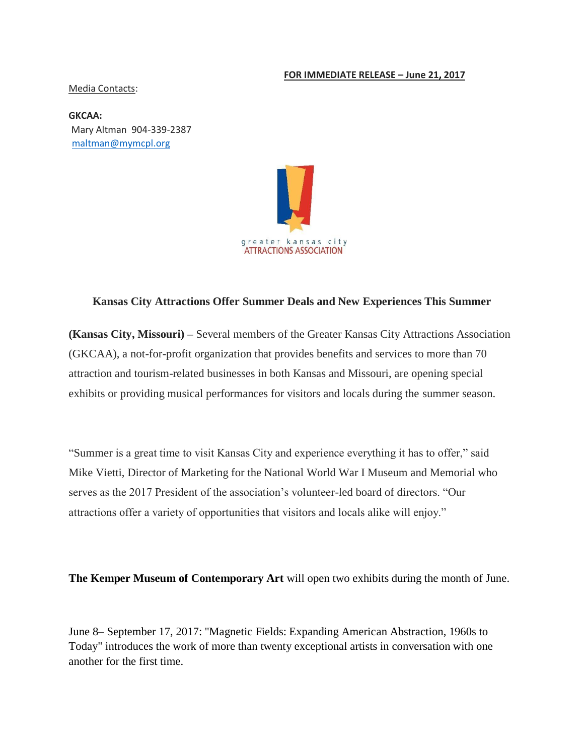#### **FOR IMMEDIATE RELEASE – June 21, 2017**

#### Media Contacts:

**GKCAA:**  Mary Altman 904-339-2387 maltman@mymcpl.org



### **Kansas City Attractions Offer Summer Deals and New Experiences This Summer**

**(Kansas City, Missouri) –** Several members of the Greater Kansas City Attractions Association (GKCAA), a not-for-profit organization that provides benefits and services to more than 70 attraction and tourism-related businesses in both Kansas and Missouri, are opening special exhibits or providing musical performances for visitors and locals during the summer season.

"Summer is a great time to visit Kansas City and experience everything it has to offer," said Mike Vietti, Director of Marketing for the National World War I Museum and Memorial who serves as the 2017 President of the association's volunteer-led board of directors. "Our attractions offer a variety of opportunities that visitors and locals alike will enjoy."

**The Kemper Museum of Contemporary Art** will open two exhibits during the month of June.

June 8– September 17, 2017: "Magnetic Fields: Expanding American Abstraction, 1960s to Today" introduces the work of more than twenty exceptional artists in conversation with one another for the first time.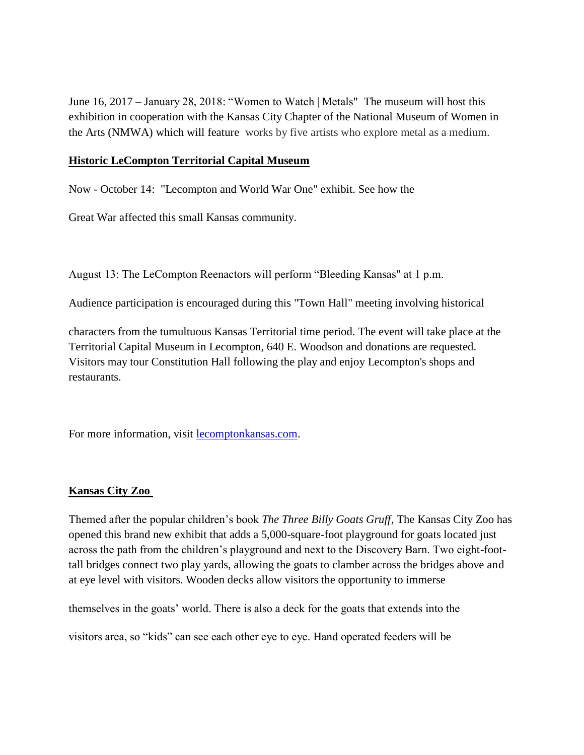June 16, 2017 – January 28, 2018: "Women to Watch | Metals" The museum will host this exhibition in cooperation with the Kansas City Chapter of the National Museum of Women in the Arts (NMWA) which will feature works by five artists who explore metal as a medium.

# **Historic LeCompton Territorial Capital Museum**

Now - October 14: "Lecompton and World War One" exhibit. See how the

Great War affected this small Kansas community.

August 13: The LeCompton Reenactors will perform "Bleeding Kansas" at 1 p.m.

Audience participation is encouraged during this "Town Hall" meeting involving historical

characters from the tumultuous Kansas Territorial time period. The event will take place at the Territorial Capital Museum in Lecompton, 640 E. Woodson and donations are requested. Visitors may tour Constitution Hall following the play and enjoy Lecompton's shops and restaurants.

For more information, visit [lecomptonkansas.com.](http://lecomptonkansas.com/)

### **Kansas City Zoo**

Themed after the popular children's book *The Three Billy Goats Gruff*, The Kansas City Zoo has opened this brand new exhibit that adds a 5,000-square-foot playground for goats located just across the path from the children's playground and next to the Discovery Barn. Two eight-foottall bridges connect two play yards, allowing the goats to clamber across the bridges above and at eye level with visitors. Wooden decks allow visitors the opportunity to immerse

themselves in the goats' world. There is also a deck for the goats that extends into the

visitors area, so "kids" can see each other eye to eye. Hand operated feeders will be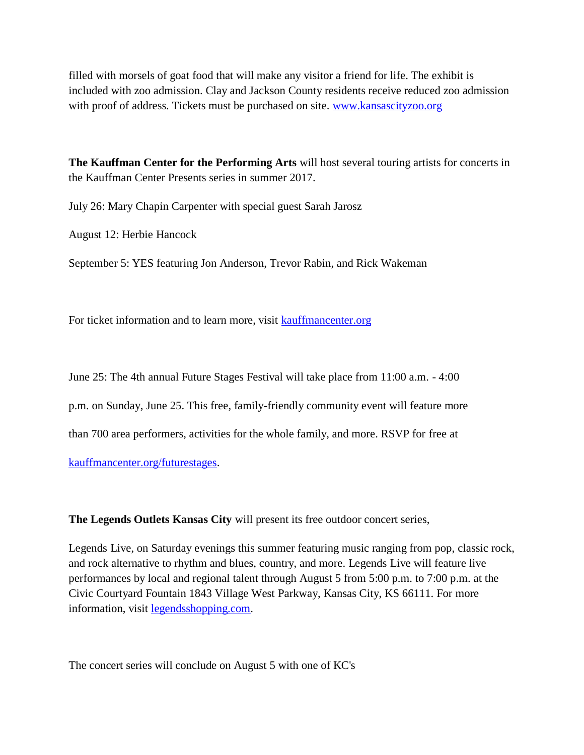filled with morsels of goat food that will make any visitor a friend for life. The exhibit is included with zoo admission. Clay and Jackson County residents receive reduced zoo admission with proof of address. Tickets must be purchased on site. [www.kansascityzoo.org](http://www.kansascityzoo.org/)

**The Kauffman Center for the Performing Arts** will host several touring artists for concerts in the Kauffman Center Presents series in summer 2017.

July 26: Mary Chapin Carpenter with special guest Sarah Jarosz

August 12: Herbie Hancock

September 5: YES featuring Jon Anderson, Trevor Rabin, and Rick Wakeman

For ticket information and to learn more, visit [kauffmancenter.org](http://kauffmancenter.org/)

June 25: The 4th annual Future Stages Festival will take place from 11:00 a.m. - 4:00

p.m. on Sunday, June 25. This free, family-friendly community event will feature more

than 700 area performers, activities for the whole family, and more. RSVP for free at

[kauffmancenter.org/futurestages.](http://kauffmancenter.org/futurestages)

**The Legends Outlets Kansas City** will present its free outdoor concert series,

Legends Live, on Saturday evenings this summer featuring music ranging from pop, classic rock, and rock alternative to rhythm and blues, country, and more. Legends Live will feature live performances by local and regional talent through August 5 from 5:00 p.m. to 7:00 p.m. at the Civic Courtyard Fountain 1843 Village West Parkway, Kansas City, KS 66111. For more information, visit [legendsshopping.com.](http://legendsshopping.com/)

The concert series will conclude on August 5 with one of KC's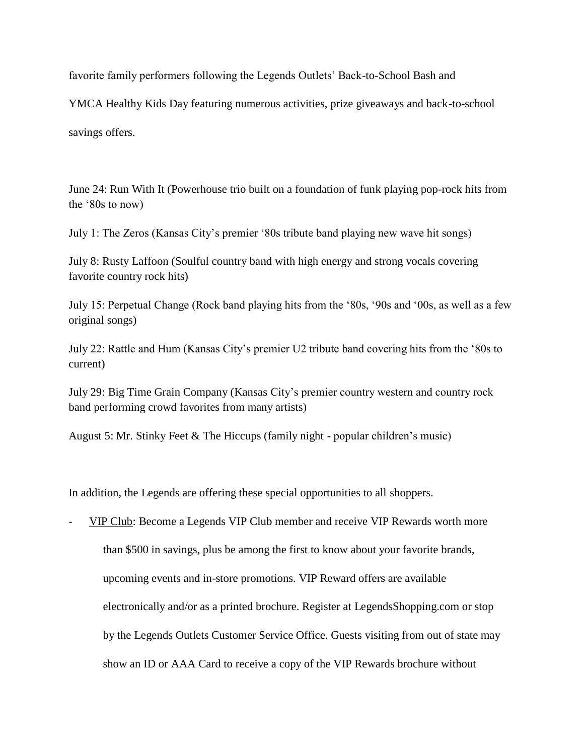favorite family performers following the Legends Outlets' Back-to-School Bash and

YMCA Healthy Kids Day featuring numerous activities, prize giveaways and back-to-school savings offers.

June 24: Run With It (Powerhouse trio built on a foundation of funk playing pop-rock hits from the '80s to now)

July 1: The Zeros (Kansas City's premier '80s tribute band playing new wave hit songs)

July 8: Rusty Laffoon (Soulful country band with high energy and strong vocals covering favorite country rock hits)

July 15: Perpetual Change (Rock band playing hits from the '80s, '90s and '00s, as well as a few original songs)

July 22: Rattle and Hum (Kansas City's premier U2 tribute band covering hits from the '80s to current)

July 29: Big Time Grain Company (Kansas City's premier country western and country rock band performing crowd favorites from many artists)

August 5: Mr. Stinky Feet & The Hiccups (family night - popular children's music)

In addition, the Legends are offering these special opportunities to all shoppers.

VIP Club: Become a Legends VIP Club member and receive VIP Rewards worth more than \$500 in savings, plus be among the first to know about your favorite brands, upcoming events and in-store promotions. VIP Reward offers are available electronically and/or as a printed brochure. Register at LegendsShopping.com or stop by the Legends Outlets Customer Service Office. Guests visiting from out of state may show an ID or AAA Card to receive a copy of the VIP Rewards brochure without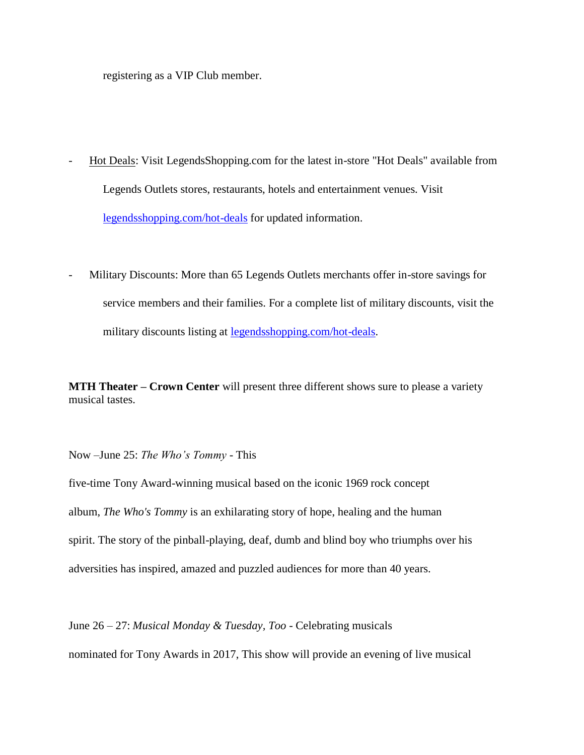registering as a VIP Club member.

- Hot Deals: Visit LegendsShopping.com for the latest in-store "Hot Deals" available from Legends Outlets stores, restaurants, hotels and entertainment venues. Visit [legendsshopping.com/hot-deals](http://legendsshopping.com/hot-deals) for updated information.
- Military Discounts: More than 65 Legends Outlets merchants offer in-store savings for service members and their families. For a complete list of military discounts, visit the military discounts listing at [legendsshopping.com/hot-deals.](http://legendsshopping.com/hot-deals/)

**MTH Theater – Crown Center** will present three different shows sure to please a variety musical tastes.

Now –June 25: *The Who's Tommy* - This

five-time Tony Award-winning musical based on the iconic 1969 rock concept album, *The Who's Tommy* is an exhilarating story of hope, healing and the human spirit. The story of the pinball-playing, deaf, dumb and blind boy who triumphs over his adversities has inspired, amazed and puzzled audiences for more than 40 years.

June 26 – 27: *Musical Monday & Tuesday, Too* - Celebrating musicals

nominated for Tony Awards in 2017, This show will provide an evening of live musical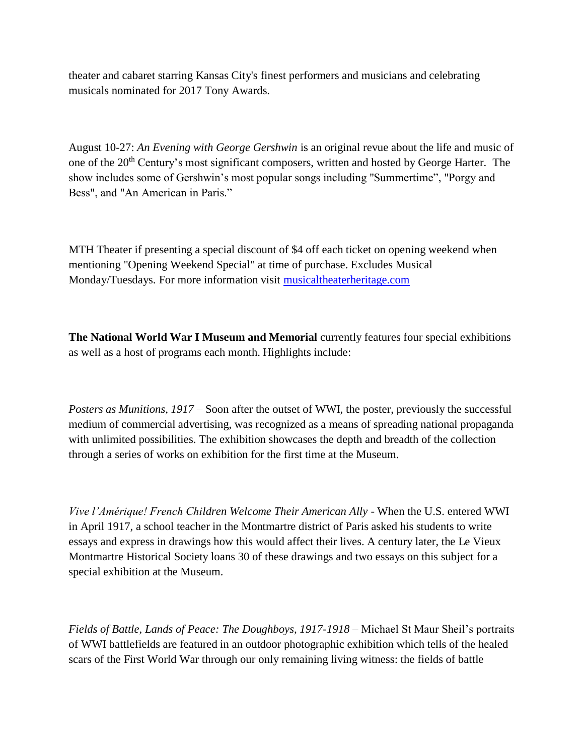theater and cabaret starring Kansas City's finest performers and musicians and celebrating musicals nominated for 2017 Tony Awards.

August 10-27: *An Evening with George Gershwin* is an original revue about the life and music of one of the 20<sup>th</sup> Century's most significant composers, written and hosted by George Harter. The show includes some of Gershwin's most popular songs including "Summertime", "Porgy and Bess", and "An American in Paris."

MTH Theater if presenting a special discount of \$4 off each ticket on opening weekend when mentioning "Opening Weekend Special" at time of purchase. Excludes Musical Monday/Tuesdays. For more information visit [musicaltheaterheritage.com](http://musicaltheaterheritage.com/)

**The National World War I Museum and Memorial** currently features four special exhibitions as well as a host of programs each month. Highlights include:

*Posters as Munitions, 1917 –* Soon after the outset of WWI, the poster, previously the successful medium of commercial advertising, was recognized as a means of spreading national propaganda with unlimited possibilities. The exhibition showcases the depth and breadth of the collection through a series of works on exhibition for the first time at the Museum.

*Vive l'Amérique! French Children Welcome Their American Ally* - When the U.S. entered WWI in April 1917, a school teacher in the Montmartre district of Paris asked his students to write essays and express in drawings how this would affect their lives. A century later, the Le Vieux Montmartre Historical Society loans 30 of these drawings and two essays on this subject for a special exhibition at the Museum.

*Fields of Battle, Lands of Peace: The Doughboys, 1917-1918* – Michael St Maur Sheil's portraits of WWI battlefields are featured in an outdoor photographic exhibition which tells of the healed scars of the First World War through our only remaining living witness: the fields of battle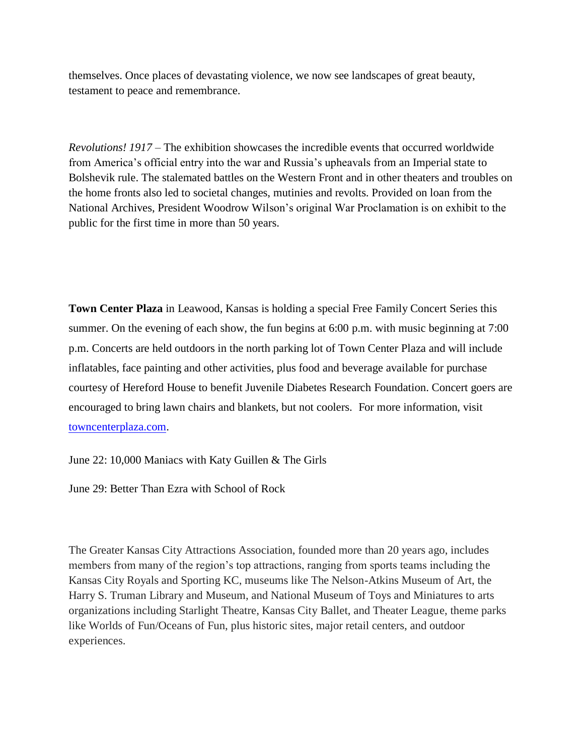themselves. Once places of devastating violence, we now see landscapes of great beauty, testament to peace and remembrance.

*Revolutions! 1917* – The exhibition showcases the incredible events that occurred worldwide from America's official entry into the war and Russia's upheavals from an Imperial state to Bolshevik rule. The stalemated battles on the Western Front and in other theaters and troubles on the home fronts also led to societal changes, mutinies and revolts. Provided on loan from the National Archives, President Woodrow Wilson's original War Proclamation is on exhibit to the public for the first time in more than 50 years.

**Town Center Plaza** in Leawood, Kansas is holding a special Free Family Concert Series this summer. On the evening of each show, the fun begins at 6:00 p.m. with music beginning at 7:00 p.m. Concerts are held outdoors in the north parking lot of Town Center Plaza and will include inflatables, face painting and other activities, plus food and beverage available for purchase courtesy of Hereford House to benefit Juvenile Diabetes Research Foundation. Concert goers are encouraged to bring lawn chairs and blankets, but not coolers. For more information, visit [towncenterplaza.com.](http://towncenterplaza.com/)

June 22: 10,000 Maniacs with Katy Guillen & The Girls

June 29: Better Than Ezra with School of Rock

The Greater Kansas City Attractions Association, founded more than 20 years ago, includes members from many of the region's top attractions, ranging from sports teams including the Kansas City Royals and Sporting KC, museums like The Nelson-Atkins Museum of Art, the Harry S. Truman Library and Museum, and National Museum of Toys and Miniatures to arts organizations including Starlight Theatre, Kansas City Ballet, and Theater League, theme parks like Worlds of Fun/Oceans of Fun, plus historic sites, major retail centers, and outdoor experiences.